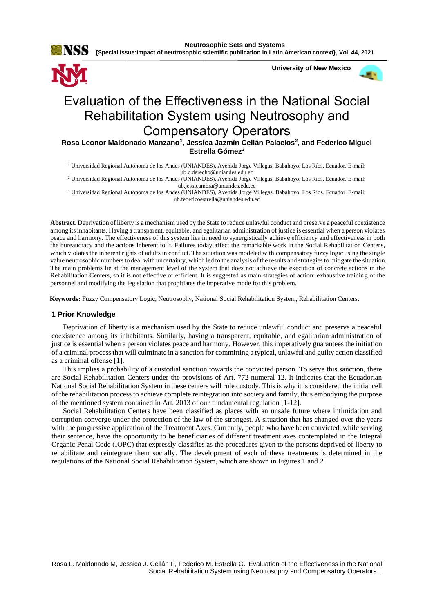

**Neutrosophic Sets and Systems**

**{Special Issue:Impact of neutrosophic scientific publication in Latin American context}, Vol. 44, 2021**



# Evaluation of the Effectiveness in the National Social Rehabilitation System using Neutrosophy and Compensatory Operators

**Rosa Leonor Maldonado Manzano<sup>1</sup> , Jessica Jazmín Cellán Palacios<sup>2</sup> , and Federico Miguel Estrella Gómez<sup>3</sup>**

<sup>1</sup> Universidad Regional Autónoma de los Andes (UNIANDES), Avenida Jorge Villegas. Babahoyo, Los Ríos, Ecuador. E-mail: [ub.c.derecho@uniandes.edu.ec](mailto:ub.c.derecho@uniandes.edu.ec)

<sup>2</sup> Universidad Regional Autónoma de los Andes (UNIANDES), Avenida Jorge Villegas. Babahoyo, Los Ríos, Ecuador. E-mail: [ub.jessicamora@uniandes.edu.ec](mailto:ub.jessicamora@uniandes.edu.ec)

<sup>3</sup> Universidad Regional Autónoma de los Andes (UNIANDES), Avenida Jorge Villegas. Babahoyo, Los Ríos, Ecuador. E-mail: [ub.federicoestrella@uniandes.edu.ec](mailto:ub.federicoestrella@uniandes.edu.ec)

**Abstract**. Deprivation of liberty is a mechanism used by the State to reduce unlawful conduct and preserve a peaceful coexistence among its inhabitants. Having a transparent, equitable, and egalitarian administration of justice is essential when a person violates peace and harmony. The effectiveness of this system lies in need to synergistically achieve efficiency and effectiveness in both the bureaucracy and the actions inherent to it. Failures today affect the remarkable work in the Social Rehabilitation Centers, which violates the inherent rights of adults in conflict. The situation was modeled with compensatory fuzzy logic using the single value neutrosophic numbers to deal with uncertainty, which led to the analysis of the results and strategies to mitigate the situation. The main problems lie at the management level of the system that does not achieve the execution of concrete actions in the Rehabilitation Centers, so it is not effective or efficient. It is suggested as main strategies of action: exhaustive training of the personnel and modifying the legislation that propitiates the imperative mode for this problem.

 **Keywords:** Fuzzy Compensatory Logic, Neutrosophy, National Social Rehabilitation System, Rehabilitation Centers**.**

#### **1 Prior Knowledge**

Deprivation of liberty is a mechanism used by the State to reduce unlawful conduct and preserve a peaceful coexistence among its inhabitants. Similarly, having a transparent, equitable, and egalitarian administration of justice is essential when a person violates peace and harmony. However, this imperatively guarantees the initiation of a criminal process that will culminate in a sanction for committing a typical, unlawful and guilty action classified as a criminal offense [\[1\]](#page-7-0).

This implies a probability of a custodial sanction towards the convicted person. To serve this sanction, there are Social Rehabilitation Centers under the provisions of Art. 772 numeral 12. It indicates that the Ecuadorian National Social Rehabilitation System in these centers will rule custody. This is why it is considered the initial cell of the rehabilitation process to achieve complete reintegration into society and family, thus embodying the purpose of the mentioned system contained in Art. 2013 of our fundamental regulation [\[1-12\]](#page-7-0).

Social Rehabilitation Centers have been classified as places with an unsafe future where intimidation and corruption converge under the protection of the law of the strongest. A situation that has changed over the years with the progressive application of the Treatment Axes. Currently, people who have been convicted, while serving their sentence, have the opportunity to be beneficiaries of different treatment axes contemplated in the Integral Organic Penal Code (IOPC) that expressly classifies as the procedures given to the persons deprived of liberty to rehabilitate and reintegrate them socially. The development of each of these treatments is determined in the regulations of the National Social Rehabilitation System, which are shown in Figures 1 and 2.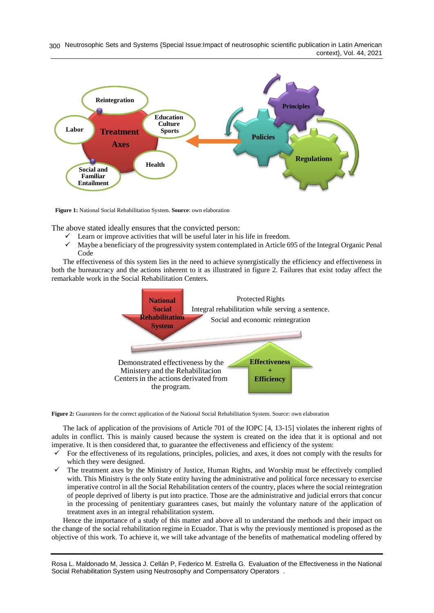Neutrosophic Sets and Systems {Special Issue:Impact of neutrosophic scientific publication in Latin American 300 context}, Vol. 44, 2021



**Figure 1:** National Social Rehabilitation System. **Source**: own elaboration

The above stated ideally ensures that the convicted person:

- Learn or improve activities that will be useful later in his life in freedom.
- $\checkmark$  Maybe a beneficiary of the progressivity system contemplated in Article 695 of the Integral Organic Penal Code

The effectiveness of this system lies in the need to achieve synergistically the efficiency and effectiveness in both the bureaucracy and the actions inherent to it as illustrated in figure 2. Failures that exist today affect the remarkable work in the Social Rehabilitation Centers.



**Figure 2:** Guarantees for the correct application of the National Social Rehabilitation System. Source: own elaboration

The lack of application of the provisions of Article 701 of the IOPC [\[4,](#page-7-1) [13-15\]](#page-7-2) violates the inherent rights of adults in conflict. This is mainly caused because the system is created on the idea that it is optional and not imperative. It is then considered that, to guarantee the effectiveness and efficiency of the system:

- For the effectiveness of its regulations, principles, policies, and axes, it does not comply with the results for which they were designed.
- The treatment axes by the Ministry of Justice, Human Rights, and Worship must be effectively complied with. This Ministry is the only State entity having the administrative and political force necessary to exercise imperative control in all the Social Rehabilitation centers of the country, places where the social reintegration of people deprived of liberty is put into practice. Those are the administrative and judicial errors that concur in the processing of penitentiary guarantees cases, but mainly the voluntary nature of the application of treatment axes in an integral rehabilitation system.

Hence the importance of a study of this matter and above all to understand the methods and their impact on the change of the social rehabilitation regime in Ecuador. That is why the previously mentioned is proposed as the objective of this work. To achieve it, we will take advantage of the benefits of mathematical modeling offered by

Rosa L. Maldonado M, Jessica J. Cellán P, Federico M. Estrella G. Evaluation of the Effectiveness in the National Social Rehabilitation System using Neutrosophy and Compensatory Operators .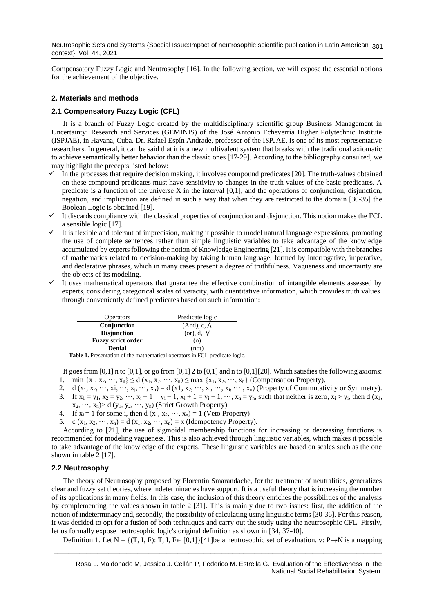Neutrosophic Sets and Systems {Special Issue:Impact of neutrosophic scientific publication in Latin American  $301$ context}, Vol. 44, 2021

Compensatory Fuzzy Logic and Neutrosophy [\[16\]](#page-7-3). In the following section, we will expose the essential notions for the achievement of the objective.

## **2. Materials and methods**

## **2.1 Compensatory Fuzzy Logic (CFL)**

It is a branch of Fuzzy Logic created by the multidisciplinary scientific group Business Management in Uncertainty: Research and Services (GEMINIS) of the José Antonio Echeverría Higher Polytechnic Institute (ISPJAE), in Havana, Cuba. Dr. Rafael Espín Andrade, professor of the ISPJAE, is one of its most representative researchers. In general, it can be said that it is a new multivalent system that breaks with the traditional axiomatic to achieve semantically better behavior than the classic ones [\[17-29\]](#page-7-4). According to the bibliography consulted, we may highlight the precepts listed below:

- In the processes that require decision making, it involves compound predicates [\[20\]](#page-7-5). The truth-values obtained on these compound predicates must have sensitivity to changes in the truth-values of the basic predicates. A predicate is a function of the universe X in the interval [0,1], and the operations of conjunction, disjunction, negation, and implication are defined in such a way that when they are restricted to the domain [\[30-35\]](#page-8-0) the Boolean Logic is obtained [\[19\]](#page-7-6).
- $\checkmark$  It discards compliance with the classical properties of conjunction and disjunction. This notion makes the FCL a sensible logic [\[17\]](#page-7-4).
- It is flexible and tolerant of imprecision, making it possible to model natural language expressions, promoting the use of complete sentences rather than simple linguistic variables to take advantage of the knowledge accumulated by experts following the notion of Knowledge Engineering [\[21\]](#page-7-7). It is compatible with the branches of mathematics related to decision-making by taking human language, formed by interrogative, imperative, and declarative phrases, which in many cases present a degree of truthfulness. Vagueness and uncertainty are the objects of its modeling.
- It uses mathematical operators that guarantee the effective combination of intangible elements assessed by experts, considering categorical scales of veracity, with quantitative information, which provides truth values through conveniently defined predicates based on such information:

| Predicate logic     |
|---------------------|
| $(And), c, \Lambda$ |
| (or), d, V          |
| $\circ$             |
| (not)               |
|                     |

**Table 1.** Presentation of the mathematical operators in FCL predicate logic.

It goes from [0,1] n to [0,1], or go from [0,1] 2 to [0,1] and n to [0,1] [\[20\]](#page-7-5). Which satisfies the following axioms: 1. min  $\{x_1, x_2, \dots, x_n\} \leq d(x_1, x_2, \dots, x_n) \leq \max \{x_1, x_2, \dots, x_n\}$  (Compensation Property).

- 2. d  $(x_1, x_2, \dots, x_i, \dots, x_j, \dots, x_n) = d(x_1, x_2, \dots, x_j, \dots, x_i, \dots, x_n)$  (Property of Commutativity or Symmetry).
- 3. If  $x_1 = y_1$ ,  $x_2 = y_2$ ,  $\cdots$ ,  $x_i 1 = y_i 1$ ,  $x_i + 1 = y_i + 1$ ,  $\cdots$ ,  $x_n = y_n$ , such that neither is zero,  $x_i > y_i$ , then d  $(x_1,$  $x_2, \dots, x_n$  > d (y<sub>1</sub>, y<sub>2</sub>,  $\dots, y_n$ ) (Strict Growth Property)
- 4. If  $x_i = 1$  for some i, then d  $(x_1, x_2, \dots, x_n) = 1$  (Veto Property)
- 5. c (x<sub>1</sub>, x<sub>2</sub>, ···, x<sub>n</sub>) = d (x<sub>1</sub>, x<sub>2</sub>, ···, x<sub>n</sub>) = x (Idempotency Property).

According to [\[21\]](#page-7-7), the use of sigmoidal membership functions for increasing or decreasing functions is recommended for modeling vagueness. This is also achieved through linguistic variables, which makes it possible to take advantage of the knowledge of the experts. These linguistic variables are based on scales such as the one shown in table 2 [\[17\]](#page-7-4).

## **2.2 Neutrosophy**

The theory of Neutrosophy proposed by Florentin Smarandache, for the treatment of neutralities, generalizes clear and fuzzy set theories, where indeterminacies have support. It is a useful theory that is increasing the number of its applications in many fields. In this case, the inclusion of this theory enriches the possibilities of the analysis by complementing the values shown in table 2 [\[31\]](#page-8-1). This is mainly due to two issues: first, the addition of the notion of indeterminacy and, secondly, the possibility of calculating using linguistic terms [\[30-36\]](#page-8-0). For this reason, it was decided to opt for a fusion of both techniques and carry out the study using the neutrosophic CFL. Firstly, let us formally expose neutrosophic logic's original definition as shown in [\[34,](#page-8-2) [37-40\]](#page-8-3).

Definition 1. Let  $N = \{(T, I, F): T, I, F \in [0,1]\}$ [\[41\]](#page-8-4)be a neutrosophic set of evaluation. v: P $\rightarrow$ N is a mapping

\_\_\_\_\_\_\_\_\_\_\_\_\_\_\_\_\_\_\_\_\_\_\_\_\_\_\_\_\_\_\_\_\_\_\_\_\_\_\_\_\_\_\_\_\_\_\_\_\_\_\_\_\_\_\_\_\_\_\_\_\_\_\_\_\_\_\_\_\_\_\_\_\_\_\_\_\_\_\_\_\_\_\_\_\_\_\_\_\_\_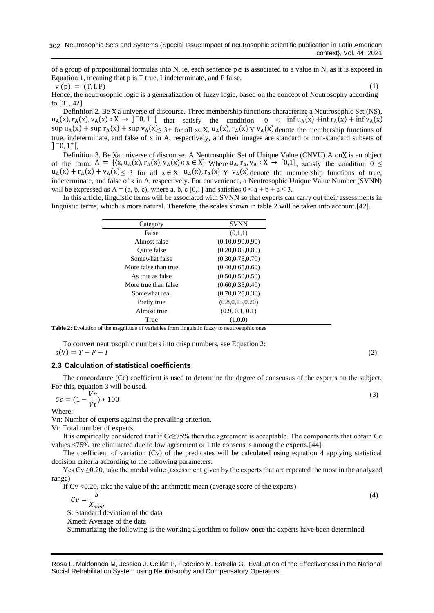of a group of propositional formulas into N, ie, each sentence  $p \in i$  associated to a value in N, as it is exposed in Equation 1, meaning that p is T true, I indeterminate, and F false.

 $v(p) = (T, I, F)$  (1)

Hence, the neutrosophic logic is a generalization of fuzzy logic, based on the concept of Neutrosophy according to [\[31,](#page-8-1) [42\]](#page-8-5).

Definition 2. Be X a universe of discourse. Three membership functions characterize a Neutrosophic Set (NS),  $u_A(x)$ ,  $r_A(x)$ ,  $v_A(x)$ :  $X \rightarrow$   $\begin{bmatrix} -0.1 \\ 1 \end{bmatrix}$  that satisfy the condition  $-0 \le \inf u_A(x) + \inf r_A(x) + \inf v_A(x)$  $\sup u_A(x) + \sup r_A(x) + \sup v_A(x) \leq 3$  for all  $x \in X$ .  $u_A(x)$ ,  $r_A(x) \in Y$  v<sub>A</sub> $(x)$  denote the membership functions of true, indeterminate, and false of x in A, respectively, and their images are standard or non-standard subsets of  $]$ <sup>-</sup>0, 1<sup>+</sup>[

Definition 3. Be Xa universe of discourse. A Neutrosophic Set of Unique Value (CNVU) A on X is an object of the form:  $A = \{(x, u_A(x), r_A(x), v_A(x)) : x \in X\}$  Where  $u_A, r_A, v_A : X \to [0,1]$ , satisfy the condition  $0 \leq$  $u_A(x) + r_A(x) + v_A(x) \leq 3$  for all  $x \in X$ .  $u_A(x)$ ,  $r_A(x)$   $y \in v_A(x)$  denote the membership functions of true, indeterminate, and false of x in A, respectively. For convenience, a Neutrosophic Unique Value Number (SVNN) will be expressed as  $A = (a, b, c)$ , where a, b, c [0,1] and satisfies  $0 \le a + b + c \le 3$ .

In this article, linguistic terms will be associated with SVNN so that experts can carry out their assessments in linguistic terms, which is more natural. Therefore, the scales shown in table 2 will be taken into account.[\[42\]](#page-8-5).

| Category             | <b>SVNN</b>        |
|----------------------|--------------------|
| False                | (0,1,1)            |
| Almost false         | (0.10, 0.90, 0.90) |
| <b>Ouite</b> false   | (0.20, 0.85, 0.80) |
| Somewhat false       | (0.30, 0.75, 0.70) |
| More false than true | (0.40, 0.65, 0.60) |
| As true as false     | (0.50, 0.50, 0.50) |
| More true than false | (0.60, 0.35, 0.40) |
| Somewhat real        | (0.70, 0.25, 0.30) |
| Pretty true          | (0.8, 0.15, 0.20)  |
| Almost true          | (0.9, 0.1, 0.1)    |
| True                 | (1,0,0)            |

**Table 2:** Evolution of the magnitude of variables from linguistic fuzzy to neutrosophic ones

To convert neutrosophic numbers into crisp numbers, see Equation 2:

 $s(V) = T - F - I$  (2)

## **2.3 Calculation of statistical coefficients**

The concordance (Cc) coefficient is used to determine the degree of consensus of the experts on the subject. For this, equation 3 will be used.

$$
Cc = (1 - \frac{Vn}{Vt}) \cdot 100
$$
\n
$$
(3)
$$

Where:

Vn: Number of experts against the prevailing criterion.

Vt: Total number of experts.

It is empirically considered that if Cc≥75% then the agreement is acceptable. The components that obtain Cc values <75% are eliminated due to low agreement or little consensus among the experts.[\[44\]](#page-8-6).

The coefficient of variation (Cv) of the predicates will be calculated using equation 4 applying statistical decision criteria according to the following parameters:

Yes Cv ≥0.20, take the modal value (assessment given by the experts that are repeated the most in the analyzed range)

If Cv <0.20, take the value of the arithmetic mean (average score of the experts)

$$
Cv = \frac{S}{X_{med}}
$$

S: Standard deviation of the data

Xmed: Average of the data

Summarizing the following is the working algorithm to follow once the experts have been determined.

(4)

Rosa L. Maldonado M, Jessica J. Cellán P, Federico M. Estrella G. Evaluation of the Effectiveness in the National Social Rehabilitation System using Neutrosophy and Compensatory Operators .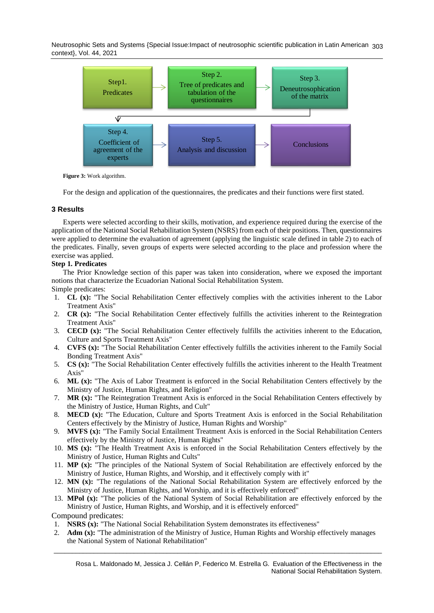Neutrosophic Sets and Systems {Special Issue:Impact of neutrosophic scientific publication in Latin American 303 context}, Vol. 44, 2021



**Figure 3:** Work algorithm.

For the design and application of the questionnaires, the predicates and their functions were first stated.

# **3 Results**

Experts were selected according to their skills, motivation, and experience required during the exercise of the application of the National Social Rehabilitation System (NSRS) from each of their positions. Then, questionnaires were applied to determine the evaluation of agreement (applying the linguistic scale defined in table 2) to each of the predicates. Finally, seven groups of experts were selected according to the place and profession where the exercise was applied.

# **Step 1. Predicates**

The Prior Knowledge section of this paper was taken into consideration, where we exposed the important notions that characterize the Ecuadorian National Social Rehabilitation System.

Simple predicates:

- 1. **CL (x):** "The Social Rehabilitation Center effectively complies with the activities inherent to the Labor Treatment Axis"
- 2. **CR (x):** "The Social Rehabilitation Center effectively fulfills the activities inherent to the Reintegration Treatment Axis"
- 3. **CECD (x):** "The Social Rehabilitation Center effectively fulfills the activities inherent to the Education, Culture and Sports Treatment Axis"
- 4. **CVFS (x):** "The Social Rehabilitation Center effectively fulfills the activities inherent to the Family Social Bonding Treatment Axis"
- 5. **CS (x):** "The Social Rehabilitation Center effectively fulfills the activities inherent to the Health Treatment Axis"
- 6. **ML (x):** "The Axis of Labor Treatment is enforced in the Social Rehabilitation Centers effectively by the Ministry of Justice, Human Rights, and Religion"
- 7. **MR (x):** "The Reintegration Treatment Axis is enforced in the Social Rehabilitation Centers effectively by the Ministry of Justice, Human Rights, and Cult"
- 8. **MECD (x):** "The Education, Culture and Sports Treatment Axis is enforced in the Social Rehabilitation Centers effectively by the Ministry of Justice, Human Rights and Worship"
- 9. **MVFS (x):** "The Family Social Entailment Treatment Axis is enforced in the Social Rehabilitation Centers effectively by the Ministry of Justice, Human Rights"
- 10. **MS (x):** "The Health Treatment Axis is enforced in the Social Rehabilitation Centers effectively by the Ministry of Justice, Human Rights and Cults"
- 11. **MP (x):** "The principles of the National System of Social Rehabilitation are effectively enforced by the Ministry of Justice, Human Rights, and Worship, and it effectively comply with it"
- 12. **MN (x):** "The regulations of the National Social Rehabilitation System are effectively enforced by the Ministry of Justice, Human Rights, and Worship, and it is effectively enforced"
- 13. **MPol (x):** "The policies of the National System of Social Rehabilitation are effectively enforced by the Ministry of Justice, Human Rights, and Worship, and it is effectively enforced"

Compound predicates:

- 1. **NSRS (x):** "The National Social Rehabilitation System demonstrates its effectiveness"
- \_\_\_\_\_\_\_\_\_\_\_\_\_\_\_\_\_\_\_\_\_\_\_\_\_\_\_\_\_\_\_\_\_\_\_\_\_\_\_\_\_\_\_\_\_\_\_\_\_\_\_\_\_\_\_\_\_\_\_\_\_\_\_\_\_\_\_\_\_\_\_\_\_\_\_\_\_\_\_\_\_\_\_\_\_\_\_\_\_\_ 2. **Adm (x):** "The administration of the Ministry of Justice, Human Rights and Worship effectively manages the National System of National Rehabilitation"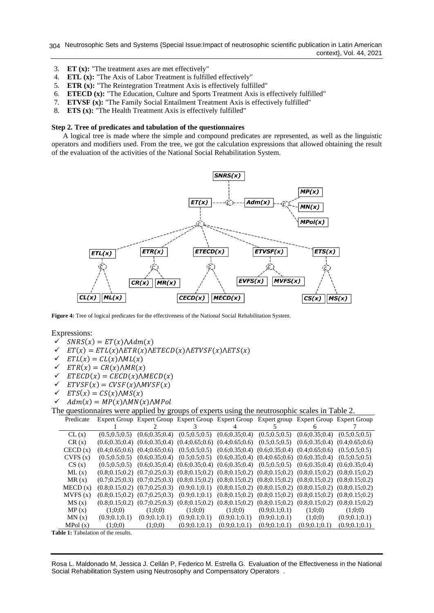Neutrosophic Sets and Systems {Special Issue:Impact of neutrosophic scientific publication in Latin American 304 context}, Vol. 44, 2021

- 3. **ET (x):** "The treatment axes are met effectively"
- 4. **ETL (x):** "The Axis of Labor Treatment is fulfilled effectively"
- 5. **ETR (x):** "The Reintegration Treatment Axis is effectively fulfilled"
- 6. **ETECD (x):** "The Education, Culture and Sports Treatment Axis is effectively fulfilled"
- 7. **ETVSF (x):** "The Family Social Entailment Treatment Axis is effectively fulfilled"
- 8. **ETS (x):** "The Health Treatment Axis is effectively fulfilled"

#### **Step 2. Tree of predicates and tabulation of the questionnaires**

A logical tree is made where the simple and compound predicates are represented, as well as the linguistic operators and modifiers used. From the tree, we got the calculation expressions that allowed obtaining the result of the evaluation of the activities of the National Social Rehabilitation System.



**Figure 4:** Tree of logical predicates for the effectiveness of the National Social Rehabilitation System.

Expressions:

- $SNRS(x) = ET(x) \land Adm(x)$
- $\checkmark$   $ET(x) = ETL(x)\wedge ETR(x)\wedge ETECD(x)\wedge ETVSF(x)\wedge ETS(x)$
- $\checkmark$   $ETL(x) = CL(x) \land ML(x)$
- $\checkmark$   $ETR(x) = CR(x)\wedge MR(x)$
- $\checkmark$  ETECD(x) = CECD(x)  $\Lambda$ MECD(x)
- $\checkmark$  ETVSF(x) = CVSF(x) $\Lambda$ MVSF(x)
- $\checkmark$   $ETS(x) = CS(x) \Lambda MS(x)$
- $\checkmark$  Adm(x) = MP(x) $\Lambda$ MN(x) $\Lambda$ MPol

The questionnaires were applied by groups of experts using the neutrosophic scales in Table 2.

| Predicate |                             |               |                 | Expert Group Expert Group Expert Group Expert Group Expert group Expert Group Expert Group                                          |                 |                 |                 |
|-----------|-----------------------------|---------------|-----------------|-------------------------------------------------------------------------------------------------------------------------------------|-----------------|-----------------|-----------------|
|           |                             |               |                 |                                                                                                                                     |                 | 6               |                 |
| CL(x)     | (0.5; 0.5; 0.5)             |               |                 | $(0.6; 0.35; 0.4)$ $(0.5; 0.5; 0.5)$ $(0.6; 0.35; 0.4)$ $(0.5; 0.5; 0.5)$ $(0.6; 0.35; 0.4)$                                        |                 |                 | (0.5; 0.5; 0.5) |
| CR(x)     |                             |               |                 | $(0.6; 0.35; 0.4)$ $(0.6; 0.35; 0.4)$ $(0.4; 0.65; 0.6)$ $(0.4; 0.65; 0.6)$ $(0.5; 0.5; 0.5)$ $(0.6; 0.35; 0.4)$ $(0.4; 0.65; 0.6)$ |                 |                 |                 |
| CECD(x)   |                             |               |                 | $(0.4; 0.65; 0.6)$ $(0.4; 0.65; 0.6)$ $(0.5; 0.5; 0.5)$ $(0.6; 0.35; 0.4)$ $(0.6; 0.35; 0.4)$ $(0.4; 0.65; 0.6)$ $(0.5; 0.5; 0.5)$  |                 |                 |                 |
| CVFS(x)   | (0.5:0.5:0.5)               |               |                 | $(0.6; 0.35; 0.4)$ $(0.5; 0.5; 0.5)$ $(0.6; 0.35; 0.4)$ $(0.4; 0.65; 0.6)$ $(0.6; 0.35; 0.4)$ $(0.5; 0.5; 0.5)$                     |                 |                 |                 |
| CS(x)     |                             |               |                 | $(0.5;0.5;0.5)$ $(0.6;0.35;0.4)$ $(0.6;0.35;0.4)$ $(0.6;0.35;0.4)$ $(0.5;0.5;0.5)$ $(0.6;0.35;0.4)$ $(0.6;0.35;0.4)$                |                 |                 |                 |
| ML(x)     |                             |               |                 | $(0.8;0.15;0.2)$ $(0.7;0.25;0.3)$ $(0.8;0.15;0.2)$ $(0.8;0.15;0.2)$ $(0.8;0.15;0.2)$ $(0.8;0.15;0.2)$ $(0.8;0.15;0.2)$              |                 |                 |                 |
| MR(x)     |                             |               |                 | $(0.7;0.25;0.3)$ $(0.7;0.25;0.3)$ $(0.8;0.15;0.2)$ $(0.8;0.15;0.2)$ $(0.8;0.15;0.2)$ $(0.8;0.15;0.2)$ $(0.8;0.15;0.2)$              |                 |                 |                 |
| MECD(x)   |                             |               |                 | $(0.8;0.15;0.2)$ $(0.7;0.25;0.3)$ $(0.9;0.1;0.1)$ $(0.8;0.15;0.2)$ $(0.8;0.15;0.2)$ $(0.8;0.15;0.2)$ $(0.8;0.15;0.2)$               |                 |                 |                 |
| MVFS(x)   |                             |               |                 | $(0.8;0.15;0.2)$ $(0.7;0.25;0.3)$ $(0.9;0.1;0.1)$ $(0.8;0.15;0.2)$ $(0.8;0.15;0.2)$ $(0.8;0.15;0.2)$ $(0.8;0.15;0.2)$               |                 |                 |                 |
| MS(x)     |                             |               |                 | $(0.8;0.15;0.2)$ $(0.7;0.25;0.3)$ $(0.8;0.15;0.2)$ $(0.8;0.15;0.2)$ $(0.8;0.15;0.2)$ $(0.8;0.15;0.2)$ $(0.8;0.15;0.2)$              |                 |                 |                 |
| MP(x)     | (1:0:0)                     | (1:0:0)       | (1:0:0)         | (1:0:0)                                                                                                                             | (0.9:0.1:0.1)   | (1;0;0)         | (1:0:0)         |
| MN(x)     | (0.9:0.1:0.1)               | (0.9:0.1:0.1) | (0.9; 0.1; 0.1) | (0.9; 0.1; 0.1)                                                                                                                     | (0.9; 0.1; 0.1) | (1:0:0)         | (0.9; 0.1; 0.1) |
| MPol(x)   | (1:0:0)                     | (1:0:0)       | (0.9:0.1:0.1)   | (0.9; 0.1; 0.1)                                                                                                                     | (0.9; 0.1; 0.1) | (0.9; 0.1; 0.1) | (0.9; 0.1; 0.1) |
|           | $\mathcal{C}$ $\mathcal{A}$ |               |                 |                                                                                                                                     |                 |                 |                 |

Table 1: Tabulation of the results.

Rosa L. Maldonado M, Jessica J. Cellán P, Federico M. Estrella G. Evaluation of the Effectiveness in the National Social Rehabilitation System using Neutrosophy and Compensatory Operators .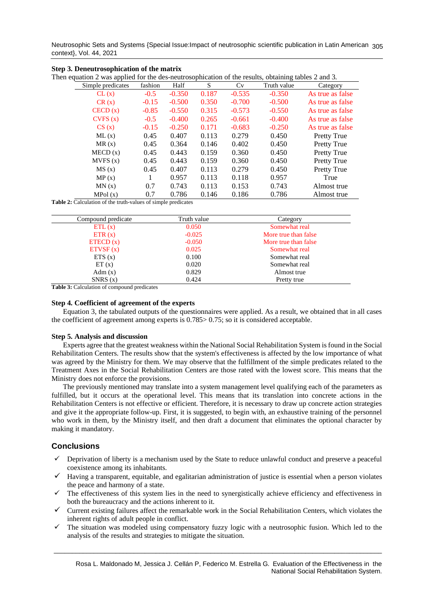Neutrosophic Sets and Systems {Special Issue:Impact of neutrosophic scientific publication in Latin American 305 context}, Vol. 44, 2021

|                                                                                                     | Step 3. Deneutrosophication of the matrix |         |          |       |          |             |                    |
|-----------------------------------------------------------------------------------------------------|-------------------------------------------|---------|----------|-------|----------|-------------|--------------------|
| Then equation 2 was applied for the des-neutrosophication of the results, obtaining tables 2 and 3. |                                           |         |          |       |          |             |                    |
|                                                                                                     | Simple predicates                         | fashion | Half     | S     | Cv       | Truth value | Category           |
|                                                                                                     | CL(x)                                     | $-0.5$  | $-0.350$ | 0.187 | $-0.535$ | $-0.350$    | As true as false   |
|                                                                                                     | CR(x)                                     | $-0.15$ | $-0.500$ | 0.350 | $-0.700$ | $-0.500$    | As true as false   |
|                                                                                                     | CECD(x)                                   | $-0.85$ | $-0.550$ | 0.315 | $-0.573$ | $-0.550$    | As true as false   |
|                                                                                                     | CVFS(x)                                   | $-0.5$  | $-0.400$ | 0.265 | $-0.661$ | $-0.400$    | As true as false   |
|                                                                                                     | CS(x)                                     | $-0.15$ | $-0.250$ | 0.171 | $-0.683$ | $-0.250$    | As true as false   |
|                                                                                                     | ML(x)                                     | 0.45    | 0.407    | 0.113 | 0.279    | 0.450       | <b>Pretty True</b> |
|                                                                                                     | MR(x)                                     | 0.45    | 0.364    | 0.146 | 0.402    | 0.450       | <b>Pretty True</b> |
|                                                                                                     | MECD(x)                                   | 0.45    | 0.443    | 0.159 | 0.360    | 0.450       | <b>Pretty True</b> |
|                                                                                                     | MVFS(x)                                   | 0.45    | 0.443    | 0.159 | 0.360    | 0.450       | <b>Pretty True</b> |
|                                                                                                     | MS(x)                                     | 0.45    | 0.407    | 0.113 | 0.279    | 0.450       | Pretty True        |
|                                                                                                     | MP(x)                                     | 1       | 0.957    | 0.113 | 0.118    | 0.957       | True               |
|                                                                                                     | MN(x)                                     | 0.7     | 0.743    | 0.113 | 0.153    | 0.743       | Almost true        |
|                                                                                                     | MPol(x)                                   | 0.7     | 0.786    | 0.146 | 0.186    | 0.786       | Almost true        |

**Table 2:** Calculation of the truth-values of simple predicates

**Step 3. Deneutrosophication of the matrix**

| Compound predicate | Truth value | Category             |
|--------------------|-------------|----------------------|
| ETL(x)             | 0.050       | Somewhat real        |
| ETR(x)             | $-0.025$    | More true than false |
| ETECD(x)           | $-0.050$    | More true than false |
| ETVSF(x)           | 0.025       | Somewhat real        |
| ETS(x)             | 0.100       | Somewhat real        |
| ET(x)              | 0.020       | Somewhat real        |
| Adm(x)             | 0.829       | Almost true          |
| SNRS(x)            | 0.424       | Pretty true          |

**Table 3:** Calculation of compound predicates

#### **Step 4. Coefficient of agreement of the experts**

Equation 3, the tabulated outputs of the questionnaires were applied. As a result, we obtained that in all cases the coefficient of agreement among experts is 0.785> 0.75; so it is considered acceptable.

#### **Step 5. Analysis and discussion**

Experts agree that the greatest weakness within the National Social Rehabilitation System is found in the Social Rehabilitation Centers. The results show that the system's effectiveness is affected by the low importance of what was agreed by the Ministry for them. We may observe that the fulfillment of the simple predicates related to the Treatment Axes in the Social Rehabilitation Centers are those rated with the lowest score. This means that the Ministry does not enforce the provisions.

The previously mentioned may translate into a system management level qualifying each of the parameters as fulfilled, but it occurs at the operational level. This means that its translation into concrete actions in the Rehabilitation Centers is not effective or efficient. Therefore, it is necessary to draw up concrete action strategies and give it the appropriate follow-up. First, it is suggested, to begin with, an exhaustive training of the personnel who work in them, by the Ministry itself, and then draft a document that eliminates the optional character by making it mandatory.

# **Conclusions**

- $\checkmark$  Deprivation of liberty is a mechanism used by the State to reduce unlawful conduct and preserve a peaceful coexistence among its inhabitants.
- $\checkmark$  Having a transparent, equitable, and egalitarian administration of justice is essential when a person violates the peace and harmony of a state.
- ✓ The effectiveness of this system lies in the need to synergistically achieve efficiency and effectiveness in both the bureaucracy and the actions inherent to it.
- ✓ Current existing failures affect the remarkable work in the Social Rehabilitation Centers, which violates the inherent rights of adult people in conflict.
- ✓ The situation was modeled using compensatory fuzzy logic with a neutrosophic fusion. Which led to the analysis of the results and strategies to mitigate the situation.

\_\_\_\_\_\_\_\_\_\_\_\_\_\_\_\_\_\_\_\_\_\_\_\_\_\_\_\_\_\_\_\_\_\_\_\_\_\_\_\_\_\_\_\_\_\_\_\_\_\_\_\_\_\_\_\_\_\_\_\_\_\_\_\_\_\_\_\_\_\_\_\_\_\_\_\_\_\_\_\_\_\_\_\_\_\_\_\_\_\_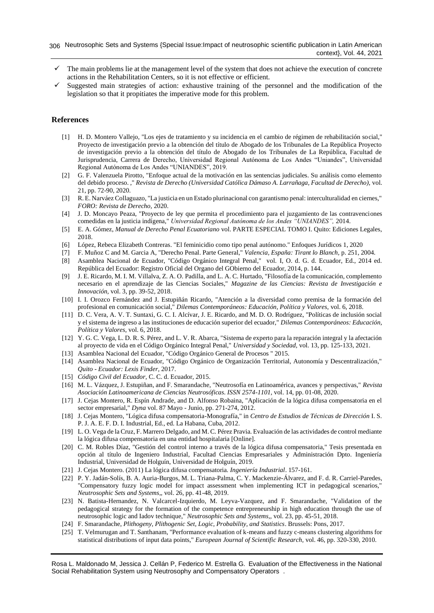- $\checkmark$  The main problems lie at the management level of the system that does not achieve the execution of concrete actions in the Rehabilitation Centers, so it is not effective or efficient.
- Suggested main strategies of action: exhaustive training of the personnel and the modification of the legislation so that it propitiates the imperative mode for this problem.

# **References**

- <span id="page-7-0"></span>[1] H. D. Montero Vallejo, "Los ejes de tratamiento y su incidencia en el cambio de régimen de rehabilitación social," Proyecto de investigación previo a la obtención del título de Abogado de los Tribunales de La República Proyecto de investigación previo a la obtención del título de Abogado de los Tribunales de La República, Facultad de Jurisprudencia, Carrera de Derecho, Universidad Regional Autónoma de Los Andes "Uniandes", Universidad Regional Autónoma de Los Andes "UNIANDES", 2019.
- [2] G. F. Valenzuela Pirotto, "Enfoque actual de la motivación en las sentencias judiciales. Su análisis como elemento del debido proceso. ," *Revista de Derecho (Universidad Católica Dámaso A. Larrañaga, Facultad de Derecho),* vol. 21, pp. 72-90, 2020.
- [3] R. E. Narváez Collaguazo, "La justicia en un Estado plurinacional con garantismo penal: interculturalidad en ciernes," *FORO: Revista de Derecho,* 2020.
- <span id="page-7-1"></span>[4] J. D. Moncayo Peaza, "Proyecto de ley que permita el procedimiento para el juzgamiento de las contravenciones comedidas en la justicia indígena," *Universidad Regional Autónoma de los Andes "UNIANDES",* 2014.
- [5] E. A. Gómez, *Manual de Derecho Penal Ecuatoriano* vol. PARTE ESPECIAL TOMO I. Quito: Ediciones Legales, 2018.
- [6] López, Rebeca Elizabeth Contreras. "El feminicidio como tipo penal autónomo." Enfoques Jurídicos 1, 2020
- [7] F. Muñoz C and M. Garcia A, "Derecho Penal. Parte General," *Valencia, España: Tirant lo Blanch,* p. 251, 2004. [8] Asamblea Nacional de Ecuador, "Código Orgánico Integral Penal," vol. I, O. d. G. d. Ecuador, Ed., 2014 ed.
- República del Ecuador: Registro Oficial del Organo del GObierno del Ecuador, 2014, p. 144.
- [9] J. E. Ricardo, M. I. M. Villalva, Z. A. O. Padilla, and L. A. C. Hurtado, "Filosofía de la comunicación, complemento necesario en el aprendizaje de las Ciencias Sociales," *Magazine de las Ciencias: Revista de Investigación e Innovación,* vol. 3, pp. 39-52, 2018.
- [10] I. I. Orozco Fernández and J. Estupiñán Ricardo, "Atención a la diversidad como premisa de la formación del profesional en comunicación social," *Dilemas Contemporáneos: Educación, Política y Valores,* vol. 6, 2018.
- [11] D. C. Vera, A. V. T. Suntaxi, G. C. I. Alcívar, J. E. Ricardo, and M. D. O. Rodríguez, "Políticas de inclusión social y el sistema de ingreso a las instituciones de educación superior del ecuador," *Dilemas Contemporáneos: Educación, Política y Valores,* vol. 6, 2018.
- [12] Y. G. C. Vega, L. D. R. S. Pérez, and L. V. R. Abarca, "Sistema de experto para la reparación integral y la afectación al proyecto de vida en el Código Orgánico Integral Penal," *Universidad y Sociedad,* vol. 13, pp. 125-133, 2021.
- <span id="page-7-2"></span>[13] Asamblea Nacional del Ecuador, "Código Orgánico General de Procesos " 2015.
- [14] Asamblea Nacional de Ecuador, "Código Orgánico de Organización Territorial, Autonomía y Descentralización," *Quito - Ecuador: Lexis Finder,* 2017.
- [15] *Código Civil del Ecuador,* C. C. d. Ecuador, 2015.
- <span id="page-7-3"></span>[16] M. L. Vázquez, J. Estupiñan, and F. Smarandache, "Neutrosofía en Latinoamérica, avances y perspectivas," *Revista Asociación Latinoamericana de Ciencias Neutrosóficas. ISSN 2574-1101,* vol. 14, pp. 01-08, 2020.
- <span id="page-7-4"></span>[17] J. Cejas Montero, R. Espín Andrade, and D. Alfonso Robaina, "Aplicación de la lógica difusa compensatoria en el sector empresarial," *Dyna* vol. 87 Mayo - Junio, pp. 271-274, 2012.
- [18] J. Cejas Montero, "Lógica difusa compensatoria-Monografía," in *Centro de Estudios de Técnicas de Dirección* I. S. P. J. A. E. F. D. I. Industrial, Ed., ed. La Habana, Cuba, 2012.
- <span id="page-7-6"></span>[19] L. O. Vega de la Cruz, F. Marrero Delgado, and M. C. Pérez Pravia. Evaluación de las actividades de control mediante la lógica difusa compensatoria en una entidad hospitalaria [Online].
- <span id="page-7-5"></span>[20] C. M. Robles Díaz, "Gestión del control interno a través de la lógica difusa compensatoria," Tesis presentada en opción al título de Ingeniero Industrial, Facultad Ciencias Empresariales y Administración Dpto. Ingeniería Industrial, Universidad de Holguín, Universidad de Holguín, 2019.
- <span id="page-7-7"></span>[21] J. Cejas Montero. (2011) La lógica difusa compensatoria. *Ingeniería Industrial*. 157-161.
- [22] P. Y. Jadán-Solís, B. A. Auria-Burgos, M. L. Triana-Palma, C. Y. Mackenzie-Álvarez, and F. d. R. Carriel-Paredes, "Compensatory fuzzy logic model for impact assessment when implementing ICT in pedagogical scenarios," *Neutrosophic Sets and Systems,,* vol. 26, pp. 41-48, 2019.
- [23] N. Batista-Hernandez, N. Valcarcel-Izquierdo, M. Leyva-Vazquez, and F. Smarandache, "Validation of the pedagogical strategy for the formation of the competence entrepreneurship in high education through the use of neutrosophic logic and Iadov technique," *Neutrosophic Sets and Systems,,* vol. 23, pp. 45-51, 2018.
- [24] F. Smarandache, *Plithogeny, Plithogenic Set, Logic, Probability, and Statistics*. Brussels: Pons, 2017.
- [25] T. Velmurugan and T. Santhanam, "Performance evaluation of k-means and fuzzy c-means clustering algorithms for statistical distributions of input data points," *European Journal of Scientific Research,* vol. 46, pp. 320-330, 2010.

Rosa L. Maldonado M, Jessica J. Cellán P, Federico M. Estrella G. Evaluation of the Effectiveness in the National Social Rehabilitation System using Neutrosophy and Compensatory Operators .